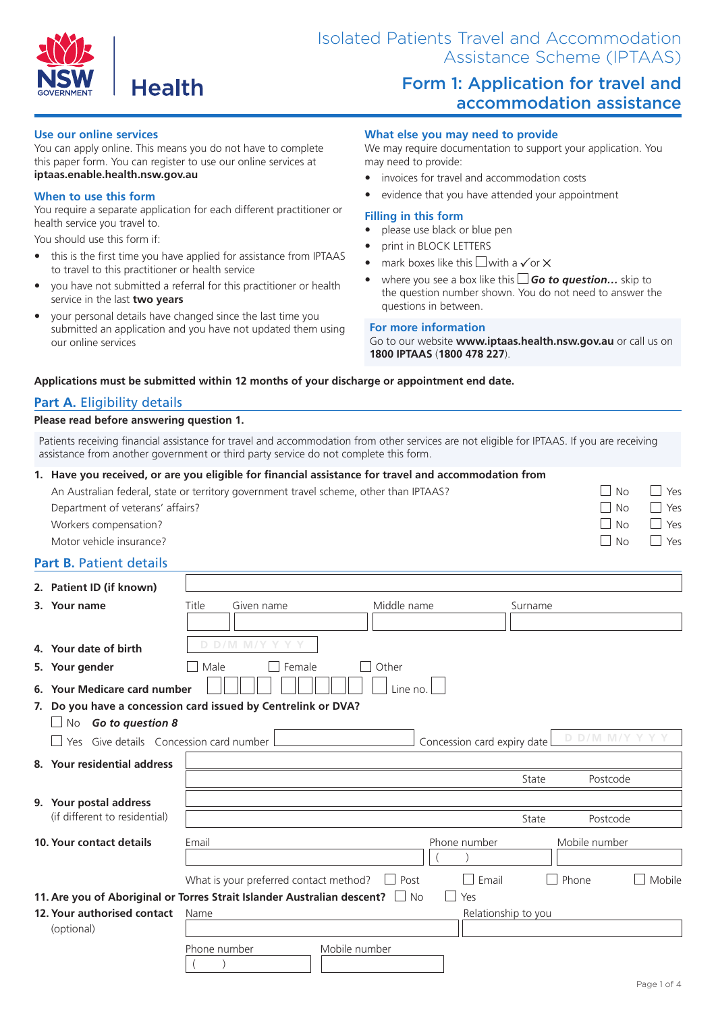

# Form 1: Application for travel and accommodation assistance

### **Use our online services**

You can apply online. This means you do not have to complete this paper form. You can register to use our online services at **iptaas.enable.health.nsw.gov.au**

#### **When to use this form**

You require a separate application for each different practitioner or health service you travel to.

You should use this form if:

- this is the first time you have applied for assistance from IPTAAS to travel to this practitioner or health service
- y you have not submitted a referral for this practitioner or health service in the last **two years**
- your personal details have changed since the last time you submitted an application and you have not updated them using our online services

#### **What else you may need to provide**

We may require documentation to support your application. You may need to provide:

- invoices for travel and accommodation costs
- evidence that you have attended your appointment

#### **Filling in this form**

- please use black or blue pen
- print in BLOCK LETTERS
- mark boxes like this  $\Box$  with a  $\checkmark$  or  $\times$
- y where you see a box like this *Go to question…* skip to the question number shown. You do not need to answer the questions in between.

#### **For more information**

Go to our website **www.iptaas.health.nsw.gov.au** or call us on **1800 IPTAAS** (**1800 478 227**).

#### **Applications must be submitted within 12 months of your discharge or appointment end date.**

## **Part A.** Eligibility details

### **Please read before answering question 1.**

Patients receiving financial assistance for travel and accommodation from other services are not eligible for IPTAAS. If you are receiving assistance from another government or third party service do not complete this form.

|                                | 1. Have you received, or are you eligible for financial assistance for travel and accommodation from |       |                                        |             |                             |                     |               |        |
|--------------------------------|------------------------------------------------------------------------------------------------------|-------|----------------------------------------|-------------|-----------------------------|---------------------|---------------|--------|
|                                | An Australian federal, state or territory government travel scheme, other than IPTAAS?               |       |                                        |             |                             |                     | <b>No</b>     | Yes    |
|                                | Department of veterans' affairs?                                                                     |       |                                        |             |                             |                     | <b>No</b>     | Yes    |
|                                | Workers compensation?                                                                                |       |                                        |             |                             |                     | <b>No</b>     | Yes    |
|                                | Motor vehicle insurance?                                                                             |       |                                        |             |                             |                     | <b>No</b>     | Yes    |
| <b>Part B. Patient details</b> |                                                                                                      |       |                                        |             |                             |                     |               |        |
|                                | 2. Patient ID (if known)                                                                             |       |                                        |             |                             |                     |               |        |
|                                | 3. Your name                                                                                         | Title | Given name                             | Middle name |                             | Surname             |               |        |
|                                |                                                                                                      |       |                                        |             |                             |                     |               |        |
|                                |                                                                                                      |       | D D/M M/Y Y Y Y                        |             |                             |                     |               |        |
|                                | 4. Your date of birth                                                                                |       |                                        |             |                             |                     |               |        |
|                                | 5. Your gender                                                                                       | Male  | Female                                 | Other       |                             |                     |               |        |
|                                | 6. Your Medicare card number                                                                         |       |                                        | Line no.    |                             |                     |               |        |
|                                | 7. Do you have a concession card issued by Centrelink or DVA?                                        |       |                                        |             |                             |                     |               |        |
|                                | No Go to question 8                                                                                  |       |                                        |             |                             |                     |               |        |
|                                | Yes Give details Concession card number                                                              |       |                                        |             | Concession card expiry date |                     | D D/M M/Y     |        |
|                                | 8. Your residential address                                                                          |       |                                        |             |                             |                     |               |        |
|                                |                                                                                                      |       |                                        |             |                             | State               | Postcode      |        |
|                                | 9. Your postal address                                                                               |       |                                        |             |                             |                     |               |        |
|                                | (if different to residential)                                                                        |       |                                        |             |                             | State               | Postcode      |        |
|                                | <b>10. Your contact details</b>                                                                      | Email |                                        |             | Phone number                |                     | Mobile number |        |
|                                |                                                                                                      |       |                                        |             |                             |                     |               |        |
|                                |                                                                                                      |       | What is your preferred contact method? | Post        | Email                       |                     | Phone         | Mobile |
|                                | 11. Are you of Aboriginal or Torres Strait Islander Australian descent? I No<br>Yes                  |       |                                        |             |                             |                     |               |        |
|                                | 12. Your authorised contact                                                                          | Name  |                                        |             |                             | Relationship to you |               |        |
|                                | (optional)                                                                                           |       |                                        |             |                             |                     |               |        |

Phone number Mobile number

 $($   $)$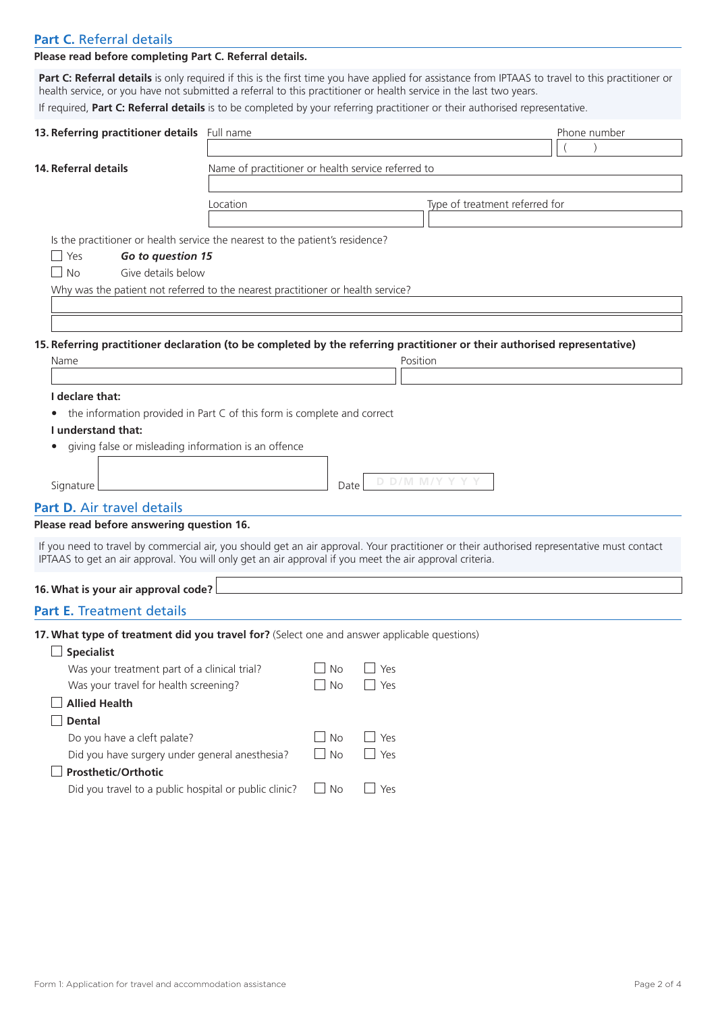# **Part C.** Referral details

# **Please read before completing Part C. Referral details.**

**Part C: Referral details** is only required if this is the first time you have applied for assistance from IPTAAS to travel to this practitioner or health service, or you have not submitted a referral to this practitioner or health service in the last two years.

If required, **Part C: Referral details** is to be completed by your referring practitioner or their authorised representative.

| 13. Referring practitioner details Full name                                                                                               |                                                    |           |            |                                | Phone number |  |  |
|--------------------------------------------------------------------------------------------------------------------------------------------|----------------------------------------------------|-----------|------------|--------------------------------|--------------|--|--|
|                                                                                                                                            |                                                    |           |            |                                |              |  |  |
| 14. Referral details                                                                                                                       | Name of practitioner or health service referred to |           |            |                                |              |  |  |
|                                                                                                                                            | Location                                           |           |            | Type of treatment referred for |              |  |  |
|                                                                                                                                            |                                                    |           |            |                                |              |  |  |
| Is the practitioner or health service the nearest to the patient's residence?                                                              |                                                    |           |            |                                |              |  |  |
| $\Box$ Yes<br>Go to question 15                                                                                                            |                                                    |           |            |                                |              |  |  |
| Give details below<br><b>No</b><br>$\overline{\phantom{a}}$                                                                                |                                                    |           |            |                                |              |  |  |
| Why was the patient not referred to the nearest practitioner or health service?                                                            |                                                    |           |            |                                |              |  |  |
|                                                                                                                                            |                                                    |           |            |                                |              |  |  |
|                                                                                                                                            |                                                    |           |            |                                |              |  |  |
| 15. Referring practitioner declaration (to be completed by the referring practitioner or their authorised representative)<br>Name          |                                                    |           | Position   |                                |              |  |  |
|                                                                                                                                            |                                                    |           |            |                                |              |  |  |
| I declare that:                                                                                                                            |                                                    |           |            |                                |              |  |  |
| the information provided in Part C of this form is complete and correct                                                                    |                                                    |           |            |                                |              |  |  |
| I understand that:                                                                                                                         |                                                    |           |            |                                |              |  |  |
| giving false or misleading information is an offence                                                                                       |                                                    |           |            |                                |              |  |  |
|                                                                                                                                            |                                                    |           |            |                                |              |  |  |
| Signature                                                                                                                                  |                                                    | Date      |            | D D/M M/Y Y Y Y                |              |  |  |
| Part D. Air travel details                                                                                                                 |                                                    |           |            |                                |              |  |  |
| Please read before answering question 16.                                                                                                  |                                                    |           |            |                                |              |  |  |
| If you need to travel by commercial air, you should get an air approval. Your practitioner or their authorised representative must contact |                                                    |           |            |                                |              |  |  |
| IPTAAS to get an air approval. You will only get an air approval if you meet the air approval criteria.                                    |                                                    |           |            |                                |              |  |  |
| 16. What is your air approval code?                                                                                                        |                                                    |           |            |                                |              |  |  |
| <b>Part E. Treatment details</b>                                                                                                           |                                                    |           |            |                                |              |  |  |
| 17. What type of treatment did you travel for? (Select one and answer applicable questions)                                                |                                                    |           |            |                                |              |  |  |
| <b>Specialist</b>                                                                                                                          |                                                    |           |            |                                |              |  |  |
| Was your treatment part of a clinical trial?                                                                                               |                                                    | No        | Yes        |                                |              |  |  |
| Was your travel for health screening?                                                                                                      |                                                    | <b>No</b> | Yes        |                                |              |  |  |
| <b>Allied Health</b>                                                                                                                       |                                                    |           |            |                                |              |  |  |
| <b>Dental</b>                                                                                                                              |                                                    |           |            |                                |              |  |  |
| Do you have a cleft palate?                                                                                                                |                                                    | No        | Yes        |                                |              |  |  |
| Did you have surgery under general anesthesia?                                                                                             |                                                    | $\Box$ No | $\Box$ Yes |                                |              |  |  |
| Prosthetic/Orthotic                                                                                                                        |                                                    |           |            |                                |              |  |  |
| Did you travel to a public hospital or public clinic?                                                                                      |                                                    | $\Box$ No | $\Box$ Yes |                                |              |  |  |
|                                                                                                                                            |                                                    |           |            |                                |              |  |  |
|                                                                                                                                            |                                                    |           |            |                                |              |  |  |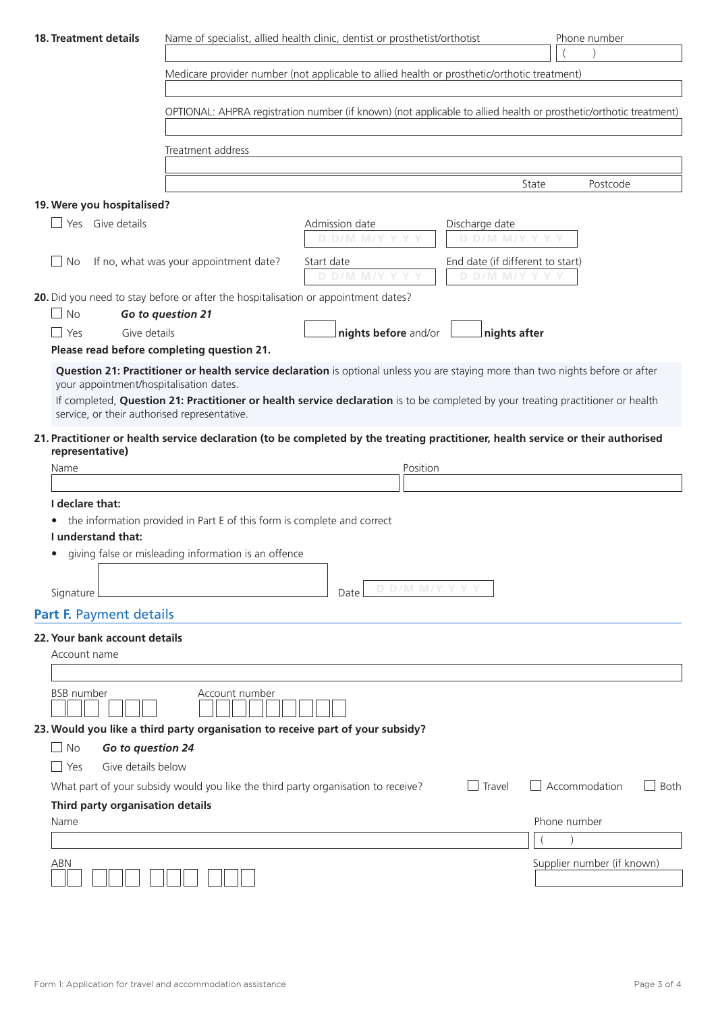| <b>18. Treatment details</b>                                                                                      |                                                                                             | Name of specialist, allied health clinic, dentist or prosthetist/orthotist                                                       |                                                     | Phone number                 |  |  |  |
|-------------------------------------------------------------------------------------------------------------------|---------------------------------------------------------------------------------------------|----------------------------------------------------------------------------------------------------------------------------------|-----------------------------------------------------|------------------------------|--|--|--|
|                                                                                                                   | Medicare provider number (not applicable to allied health or prosthetic/orthotic treatment) |                                                                                                                                  |                                                     |                              |  |  |  |
| OPTIONAL: AHPRA registration number (if known) (not applicable to allied health or prosthetic/orthotic treatment) |                                                                                             |                                                                                                                                  |                                                     |                              |  |  |  |
|                                                                                                                   | Treatment address                                                                           |                                                                                                                                  |                                                     |                              |  |  |  |
|                                                                                                                   |                                                                                             |                                                                                                                                  | State                                               | Postcode                     |  |  |  |
| 19. Were you hospitalised?                                                                                        |                                                                                             |                                                                                                                                  |                                                     |                              |  |  |  |
| Yes Give details                                                                                                  |                                                                                             | Admission date<br>D D/M M/Y Y                                                                                                    | Discharge date<br>D D/M M/Y Y Y                     |                              |  |  |  |
| No                                                                                                                | If no, what was your appointment date?                                                      | Start date<br>D D/M M/Y Y                                                                                                        | End date (if different to start)<br>D D/M M/Y Y Y Y |                              |  |  |  |
| <b>No</b>                                                                                                         | 20. Did you need to stay before or after the hospitalisation or appointment dates?          |                                                                                                                                  |                                                     |                              |  |  |  |
|                                                                                                                   | Go to question 21                                                                           |                                                                                                                                  |                                                     |                              |  |  |  |
| Give details<br>Yes                                                                                               | Please read before completing question 21.                                                  | nights before and/or                                                                                                             | nights after                                        |                              |  |  |  |
| your appointment/hospitalisation dates.                                                                           |                                                                                             | Question 21: Practitioner or health service declaration is optional unless you are staying more than two nights before or after  |                                                     |                              |  |  |  |
| service, or their authorised representative.                                                                      |                                                                                             | If completed, Question 21: Practitioner or health service declaration is to be completed by your treating practitioner or health |                                                     |                              |  |  |  |
|                                                                                                                   |                                                                                             | 21. Practitioner or health service declaration (to be completed by the treating practitioner, health service or their authorised |                                                     |                              |  |  |  |
| Name                                                                                                              | representative)<br>Position                                                                 |                                                                                                                                  |                                                     |                              |  |  |  |
| I declare that:                                                                                                   |                                                                                             |                                                                                                                                  |                                                     |                              |  |  |  |
|                                                                                                                   | the information provided in Part E of this form is complete and correct                     |                                                                                                                                  |                                                     |                              |  |  |  |
| I understand that:                                                                                                |                                                                                             |                                                                                                                                  |                                                     |                              |  |  |  |
| ٠                                                                                                                 | giving false or misleading information is an offence                                        |                                                                                                                                  |                                                     |                              |  |  |  |
| Signature                                                                                                         |                                                                                             | D D/M M/Y Y Y<br>Date                                                                                                            |                                                     |                              |  |  |  |
| Part F. Payment details                                                                                           |                                                                                             |                                                                                                                                  |                                                     |                              |  |  |  |
| 22. Your bank account details                                                                                     |                                                                                             |                                                                                                                                  |                                                     |                              |  |  |  |
| Account name                                                                                                      |                                                                                             |                                                                                                                                  |                                                     |                              |  |  |  |
|                                                                                                                   |                                                                                             |                                                                                                                                  |                                                     |                              |  |  |  |
| <b>BSB</b> number                                                                                                 | Account number                                                                              |                                                                                                                                  |                                                     |                              |  |  |  |
|                                                                                                                   | 23. Would you like a third party organisation to receive part of your subsidy?              |                                                                                                                                  |                                                     |                              |  |  |  |
| <b>No</b><br>Go to question 24                                                                                    |                                                                                             |                                                                                                                                  |                                                     |                              |  |  |  |
| Give details below<br>Yes                                                                                         |                                                                                             |                                                                                                                                  |                                                     |                              |  |  |  |
|                                                                                                                   | What part of your subsidy would you like the third party organisation to receive?           |                                                                                                                                  | Travel                                              | Accommodation<br><b>Both</b> |  |  |  |
| Third party organisation details                                                                                  |                                                                                             |                                                                                                                                  |                                                     |                              |  |  |  |
| Name                                                                                                              |                                                                                             |                                                                                                                                  |                                                     | Phone number                 |  |  |  |
|                                                                                                                   |                                                                                             |                                                                                                                                  |                                                     |                              |  |  |  |
| ABN                                                                                                               |                                                                                             |                                                                                                                                  |                                                     | Supplier number (if known)   |  |  |  |
|                                                                                                                   |                                                                                             |                                                                                                                                  |                                                     |                              |  |  |  |